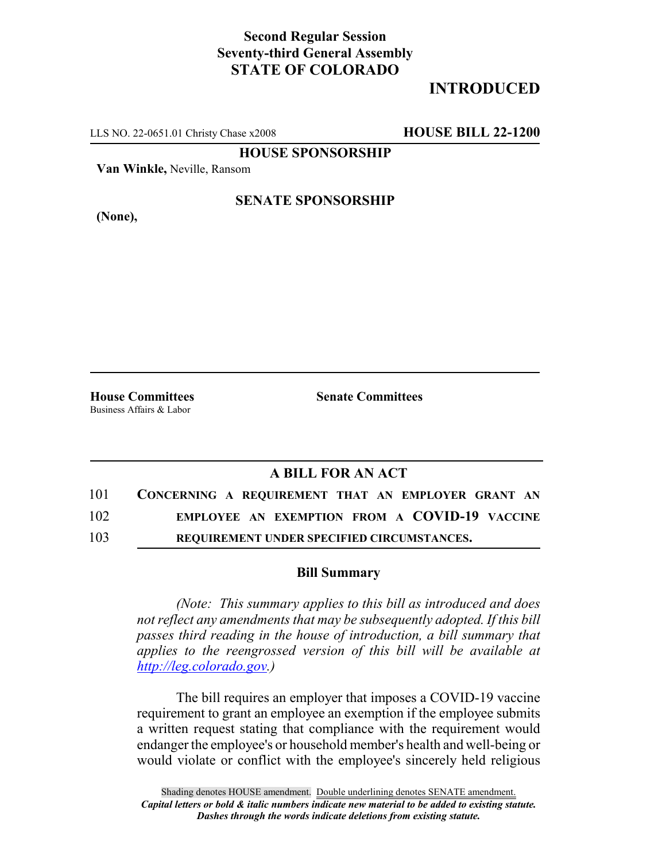### **Second Regular Session Seventy-third General Assembly STATE OF COLORADO**

# **INTRODUCED**

LLS NO. 22-0651.01 Christy Chase x2008 **HOUSE BILL 22-1200**

**HOUSE SPONSORSHIP**

**Van Winkle,** Neville, Ransom

**(None),**

### **SENATE SPONSORSHIP**

Business Affairs & Labor

**House Committees Senate Committees**

# **A BILL FOR AN ACT**

| 101 | CONCERNING A REQUIREMENT THAT AN EMPLOYER GRANT AN |
|-----|----------------------------------------------------|
| 102 | EMPLOYEE AN EXEMPTION FROM A COVID-19 VACCINE      |
| 103 | REQUIREMENT UNDER SPECIFIED CIRCUMSTANCES.         |

#### **Bill Summary**

*(Note: This summary applies to this bill as introduced and does not reflect any amendments that may be subsequently adopted. If this bill passes third reading in the house of introduction, a bill summary that applies to the reengrossed version of this bill will be available at http://leg.colorado.gov.)*

The bill requires an employer that imposes a COVID-19 vaccine requirement to grant an employee an exemption if the employee submits a written request stating that compliance with the requirement would endanger the employee's or household member's health and well-being or would violate or conflict with the employee's sincerely held religious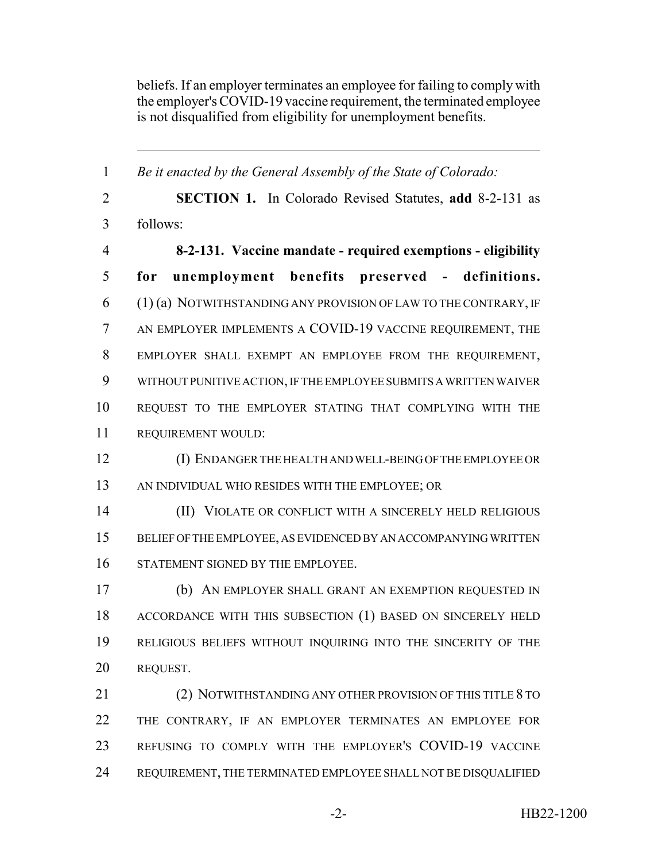beliefs. If an employer terminates an employee for failing to comply with the employer's COVID-19 vaccine requirement, the terminated employee is not disqualified from eligibility for unemployment benefits.

 *Be it enacted by the General Assembly of the State of Colorado:* **SECTION 1.** In Colorado Revised Statutes, **add** 8-2-131 as follows: **8-2-131. Vaccine mandate - required exemptions - eligibility for unemployment benefits preserved - definitions.** (1) (a) NOTWITHSTANDING ANY PROVISION OF LAW TO THE CONTRARY, IF AN EMPLOYER IMPLEMENTS A COVID-19 VACCINE REQUIREMENT, THE EMPLOYER SHALL EXEMPT AN EMPLOYEE FROM THE REQUIREMENT, WITHOUT PUNITIVE ACTION, IF THE EMPLOYEE SUBMITS A WRITTEN WAIVER REQUEST TO THE EMPLOYER STATING THAT COMPLYING WITH THE REQUIREMENT WOULD: (I) ENDANGER THE HEALTH AND WELL-BEING OF THE EMPLOYEE OR AN INDIVIDUAL WHO RESIDES WITH THE EMPLOYEE; OR (II) VIOLATE OR CONFLICT WITH A SINCERELY HELD RELIGIOUS BELIEF OF THE EMPLOYEE, AS EVIDENCED BY AN ACCOMPANYING WRITTEN 16 STATEMENT SIGNED BY THE EMPLOYEE. (b) AN EMPLOYER SHALL GRANT AN EXEMPTION REQUESTED IN ACCORDANCE WITH THIS SUBSECTION (1) BASED ON SINCERELY HELD RELIGIOUS BELIEFS WITHOUT INQUIRING INTO THE SINCERITY OF THE REQUEST. 21 (2) NOTWITHSTANDING ANY OTHER PROVISION OF THIS TITLE 8 TO THE CONTRARY, IF AN EMPLOYER TERMINATES AN EMPLOYEE FOR REFUSING TO COMPLY WITH THE EMPLOYER'S COVID-19 VACCINE

REQUIREMENT, THE TERMINATED EMPLOYEE SHALL NOT BE DISQUALIFIED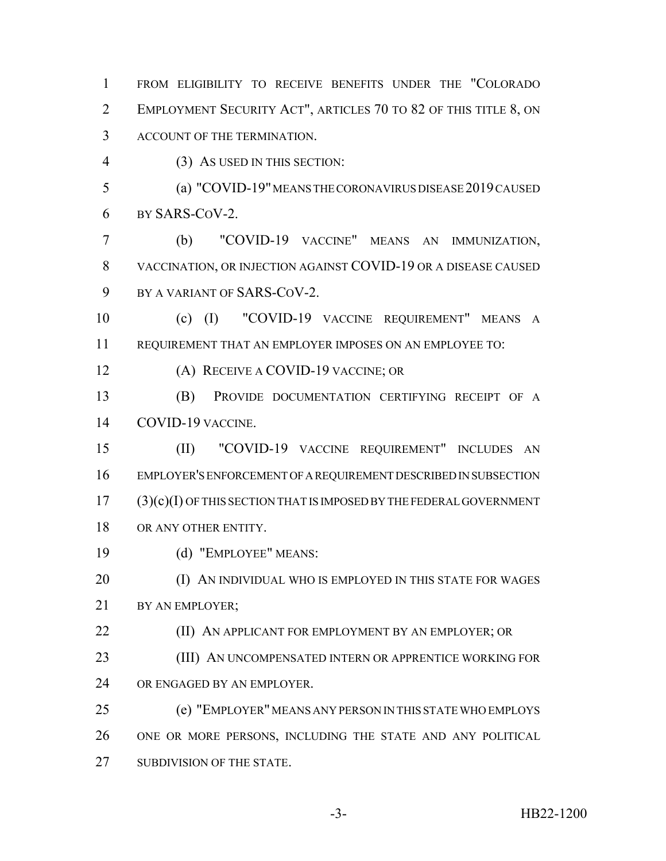FROM ELIGIBILITY TO RECEIVE BENEFITS UNDER THE "COLORADO EMPLOYMENT SECURITY ACT", ARTICLES 70 TO 82 OF THIS TITLE 8, ON ACCOUNT OF THE TERMINATION.

(3) AS USED IN THIS SECTION:

 (a) "COVID-19" MEANS THE CORONAVIRUS DISEASE 2019 CAUSED BY SARS-COV-2.

 (b) "COVID-19 VACCINE" MEANS AN IMMUNIZATION, VACCINATION, OR INJECTION AGAINST COVID-19 OR A DISEASE CAUSED BY A VARIANT OF SARS-COV-2.

 (c) (I) "COVID-19 VACCINE REQUIREMENT" MEANS A REQUIREMENT THAT AN EMPLOYER IMPOSES ON AN EMPLOYEE TO:

(A) RECEIVE A COVID-19 VACCINE; OR

 (B) PROVIDE DOCUMENTATION CERTIFYING RECEIPT OF A COVID-19 VACCINE.

 (II) "COVID-19 VACCINE REQUIREMENT" INCLUDES AN EMPLOYER'S ENFORCEMENT OF A REQUIREMENT DESCRIBED IN SUBSECTION (3)(c)(I) OF THIS SECTION THAT IS IMPOSED BY THE FEDERAL GOVERNMENT 18 OR ANY OTHER ENTITY.

(d) "EMPLOYEE" MEANS:

**(I) AN INDIVIDUAL WHO IS EMPLOYED IN THIS STATE FOR WAGES** 21 BY AN EMPLOYER:

**(II) AN APPLICANT FOR EMPLOYMENT BY AN EMPLOYER; OR** 

**(III) AN UNCOMPENSATED INTERN OR APPRENTICE WORKING FOR** OR ENGAGED BY AN EMPLOYER.

 (e) "EMPLOYER" MEANS ANY PERSON IN THIS STATE WHO EMPLOYS ONE OR MORE PERSONS, INCLUDING THE STATE AND ANY POLITICAL 27 SUBDIVISION OF THE STATE.